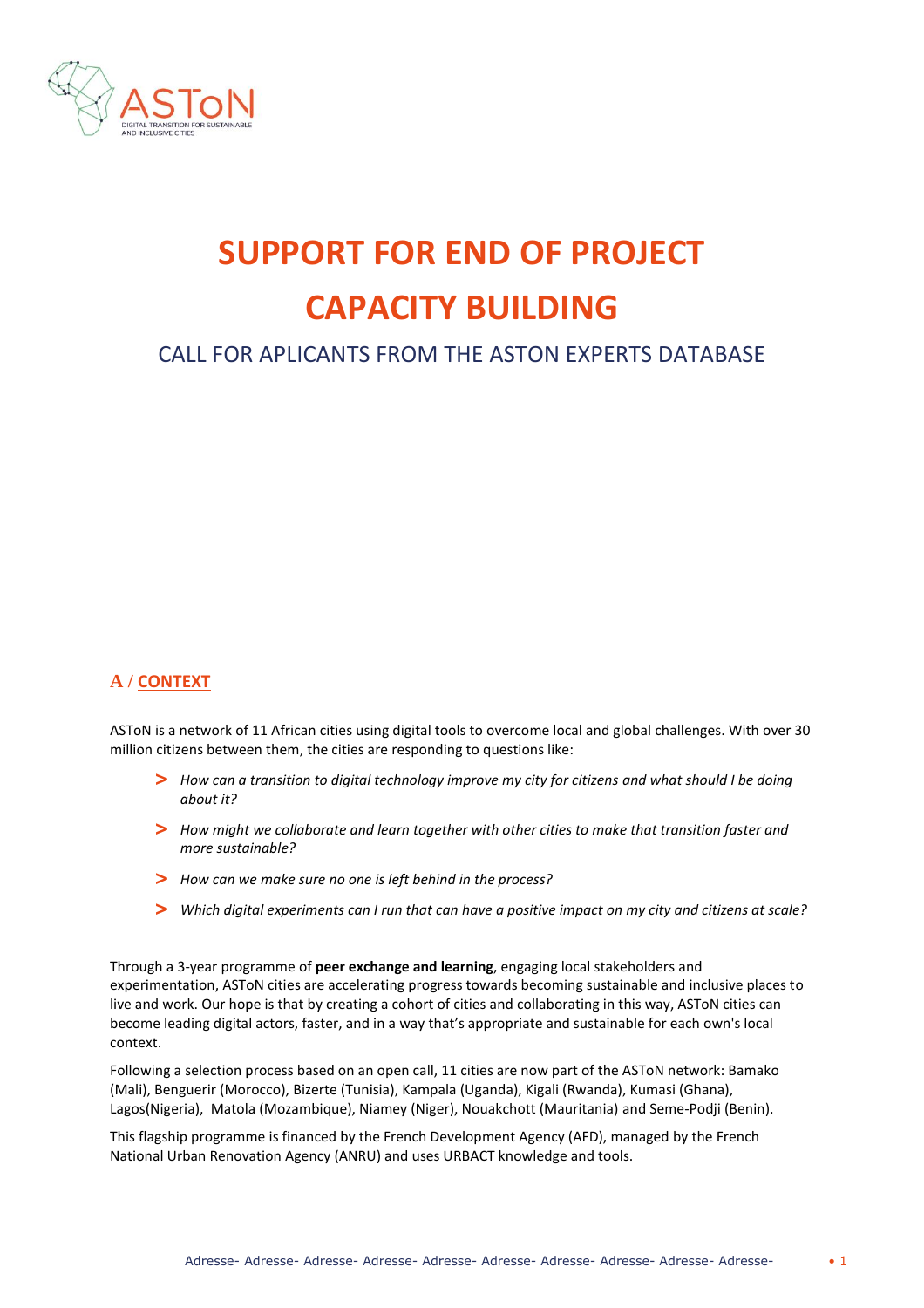

# **SUPPORT FOR END OF PROJECT CAPACITY BUILDING**

# CALL FOR APLICANTS FROM THE ASTON EXPERTS DATABASE

### **A / CONTEXT**

ASToN is a network of 11 African cities using digital tools to overcome local and global challenges. With over 30 million citizens between them, the cities are responding to questions like:

- **>** *How can a transition to digital technology improve my city for citizens and what should I be doing about it?*
- **>** *How might we collaborate and learn together with other cities to make that transition faster and more sustainable?*
- **>** *How can we make sure no one is left behind in the process?*
- **>** *Which digital experiments can I run that can have a positive impact on my city and citizens at scale?*

Through a 3-year programme of **peer exchange and learning**, engaging local stakeholders and experimentation, ASToN cities are accelerating progress towards becoming sustainable and inclusive places to live and work. Our hope is that by creating a cohort of cities and collaborating in this way, ASToN cities can become leading digital actors, faster, and in a way that's appropriate and sustainable for each own's local context.

Following a selection process based on an open call, 11 cities are now part of the ASToN network: Bamako (Mali), Benguerir (Morocco), Bizerte (Tunisia), Kampala (Uganda), Kigali (Rwanda), Kumasi (Ghana), Lagos(Nigeria), Matola (Mozambique), Niamey (Niger), Nouakchott (Mauritania) and Seme-Podji (Benin).

This flagship programme is financed by the French Development Agency (AFD), managed by the French National Urban Renovation Agency (ANRU) and uses URBACT knowledge and tools.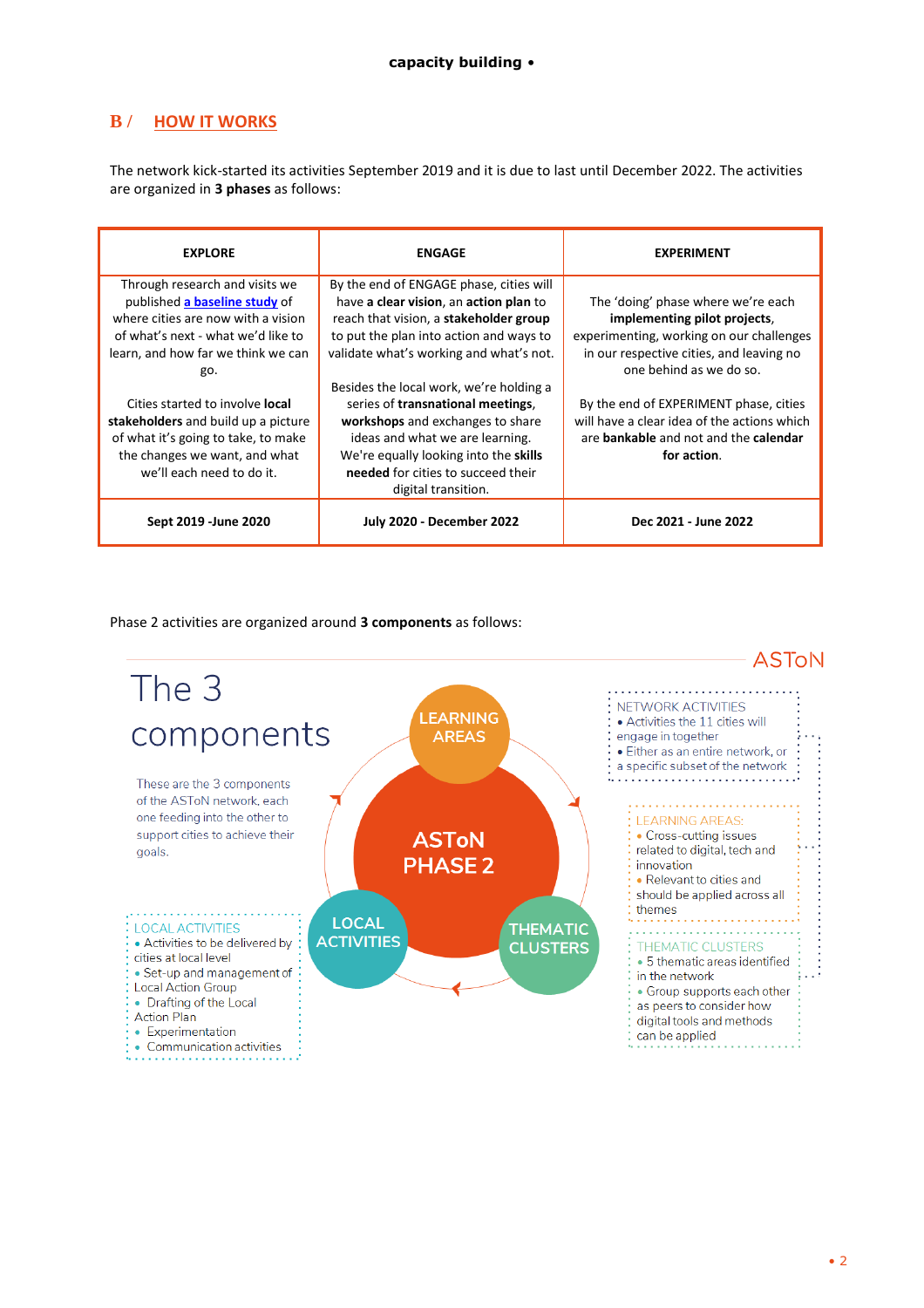## **B / HOW IT WORKS**

The network kick-started its activities September 2019 and it is due to last until December 2022. The activities are organized in **3 phases** as follows:

| <b>EXPLORE</b>                                                                                                                                                                           | <b>ENGAGE</b>                                                                                                                                                                                                                                                | <b>EXPERIMENT</b>                                                                                                                                                                     |
|------------------------------------------------------------------------------------------------------------------------------------------------------------------------------------------|--------------------------------------------------------------------------------------------------------------------------------------------------------------------------------------------------------------------------------------------------------------|---------------------------------------------------------------------------------------------------------------------------------------------------------------------------------------|
| Through research and visits we<br>published a baseline study of<br>where cities are now with a vision<br>of what's next - what we'd like to<br>learn, and how far we think we can<br>go. | By the end of ENGAGE phase, cities will<br>have a clear vision, an action plan to<br>reach that vision, a stakeholder group<br>to put the plan into action and ways to<br>validate what's working and what's not.<br>Besides the local work, we're holding a | The 'doing' phase where we're each<br>implementing pilot projects,<br>experimenting, working on our challenges<br>in our respective cities, and leaving no<br>one behind as we do so. |
| Cities started to involve <b>local</b><br>stakeholders and build up a picture<br>of what it's going to take, to make<br>the changes we want, and what<br>we'll each need to do it.       | series of transnational meetings,<br>workshops and exchanges to share<br>ideas and what we are learning.<br>We're equally looking into the skills<br>needed for cities to succeed their<br>digital transition.                                               | By the end of EXPERIMENT phase, cities<br>will have a clear idea of the actions which<br>are <b>bankable</b> and not and the <b>calendar</b><br>for action.                           |
| Sept 2019 - June 2020                                                                                                                                                                    | <b>July 2020 - December 2022</b>                                                                                                                                                                                                                             | Dec 2021 - June 2022                                                                                                                                                                  |

Phase 2 activities are organized around **3 components** as follows:

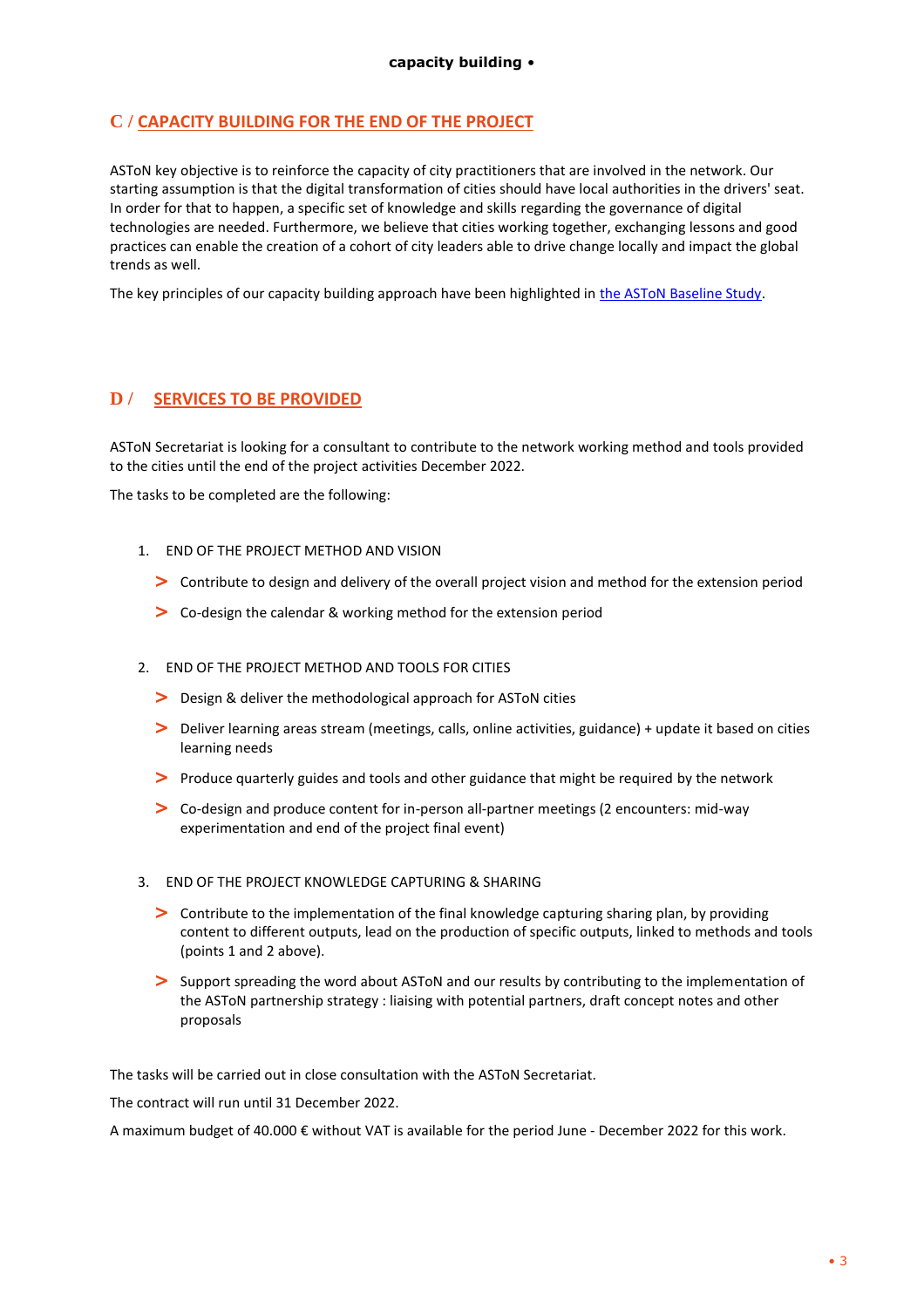#### **C / CAPACITY BUILDING FOR THE END OF THE PROJECT**

ASToN key objective is to reinforce the capacity of city practitioners that are involved in the network. Our starting assumption is that the digital transformation of cities should have local authorities in the drivers' seat. In order for that to happen, a specific set of knowledge and skills regarding the governance of digital technologies are needed. Furthermore, we believe that cities working together, exchanging lessons and good practices can enable the creation of a cohort of city leaders able to drive change locally and impact the global trends as well.

The key principles of our capacity building approach have been highlighted in [the ASToN Baseline Study.](https://aston-network.org/wp-content/uploads/2021/05/Aston-BaselineStudy-VA-210430-JB.pdf)

#### **D / SERVICES TO BE PROVIDED**

ASToN Secretariat is looking for a consultant to contribute to the network working method and tools provided to the cities until the end of the project activities December 2022.

The tasks to be completed are the following:

- 1. END OF THE PROJECT METHOD AND VISION
	- **>** Contribute to design and delivery of the overall project vision and method for the extension period
	- **>** Co-design the calendar & working method for the extension period
- 2. END OF THE PROJECT METHOD AND TOOLS FOR CITIES
	- **>** Design & deliver the methodological approach for ASToN cities
	- **>** Deliver learning areas stream (meetings, calls, online activities, guidance) + update it based on cities learning needs
	- **>** Produce quarterly guides and tools and other guidance that might be required by the network
	- **>** Co-design and produce content for in-person all-partner meetings (2 encounters: mid-way experimentation and end of the project final event)
- 3. END OF THE PROJECT KNOWLEDGE CAPTURING & SHARING
	- **>** Contribute to the implementation of the final knowledge capturing sharing plan, by providing content to different outputs, lead on the production of specific outputs, linked to methods and tools (points 1 and 2 above).
	- **>** Support spreading the word about ASToN and our results by contributing to the implementation of the ASToN partnership strategy : liaising with potential partners, draft concept notes and other proposals

The tasks will be carried out in close consultation with the ASToN Secretariat.

The contract will run until 31 December 2022.

A maximum budget of 40.000 € without VAT is available for the period June - December 2022 for this work.